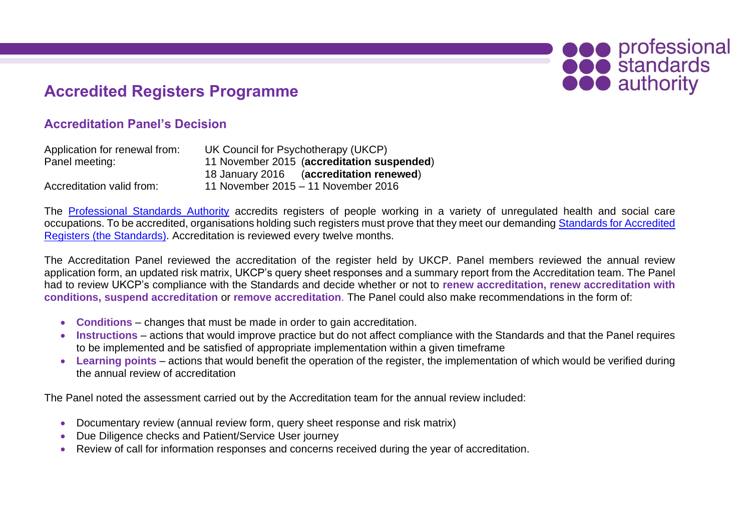# **Accredited Registers Programme**

## **Accreditation Panel's Decision**

| Application for renewal from: | UK Council for Psychotherapy (UKCP)        |
|-------------------------------|--------------------------------------------|
| Panel meeting:                | 11 November 2015 (accreditation suspended) |
|                               | (accreditation renewed)<br>18 January 2016 |
| Accreditation valid from:     | 11 November 2015 - 11 November 2016        |

The [Professional Standards Authority](http://www.professionalstandards.org.uk/accredited-registers/) accredits registers of people working in a variety of unregulated health and social care occupations. To be accredited, organisations holding such registers must prove that they meet our demanding Standards for Accredited Registers [\(the Standards\).](http://www.professionalstandards.org.uk/accredited-registers/about-accredited-registers/our-standards) Accreditation is reviewed every twelve months.

**OCO** professional

**OOO** authority

The Accreditation Panel reviewed the accreditation of the register held by UKCP. Panel members reviewed the annual review application form, an updated risk matrix, UKCP's query sheet responses and a summary report from the Accreditation team. The Panel had to review UKCP's compliance with the Standards and decide whether or not to **renew accreditation, renew accreditation with conditions, suspend accreditation** or **remove accreditation**. The Panel could also make recommendations in the form of:

- **Conditions** changes that must be made in order to gain accreditation.
- **Instructions** actions that would improve practice but do not affect compliance with the Standards and that the Panel requires to be implemented and be satisfied of appropriate implementation within a given timeframe
- **Learning points** actions that would benefit the operation of the register, the implementation of which would be verified during the annual review of accreditation

The Panel noted the assessment carried out by the Accreditation team for the annual review included:

- Documentary review (annual review form, query sheet response and risk matrix)
- Due Diligence checks and Patient/Service User journey
- Review of call for information responses and concerns received during the year of accreditation.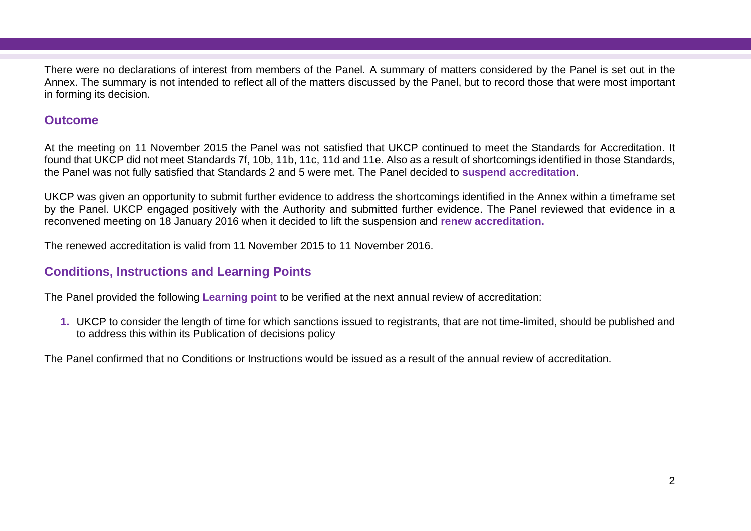There were no declarations of interest from members of the Panel. A summary of matters considered by the Panel is set out in the Annex. The summary is not intended to reflect all of the matters discussed by the Panel, but to record those that were most important in forming its decision.

## **Outcome**

At the meeting on 11 November 2015 the Panel was not satisfied that UKCP continued to meet the Standards for Accreditation. It found that UKCP did not meet Standards 7f, 10b, 11b, 11c, 11d and 11e. Also as a result of shortcomings identified in those Standards, the Panel was not fully satisfied that Standards 2 and 5 were met. The Panel decided to **suspend accreditation**.

UKCP was given an opportunity to submit further evidence to address the shortcomings identified in the Annex within a timeframe set by the Panel. UKCP engaged positively with the Authority and submitted further evidence. The Panel reviewed that evidence in a reconvened meeting on 18 January 2016 when it decided to lift the suspension and **renew accreditation.**

The renewed accreditation is valid from 11 November 2015 to 11 November 2016.

## **Conditions, Instructions and Learning Points**

The Panel provided the following **Learning point** to be verified at the next annual review of accreditation:

**1.** UKCP to consider the length of time for which sanctions issued to registrants, that are not time-limited, should be published and to address this within its Publication of decisions policy

The Panel confirmed that no Conditions or Instructions would be issued as a result of the annual review of accreditation.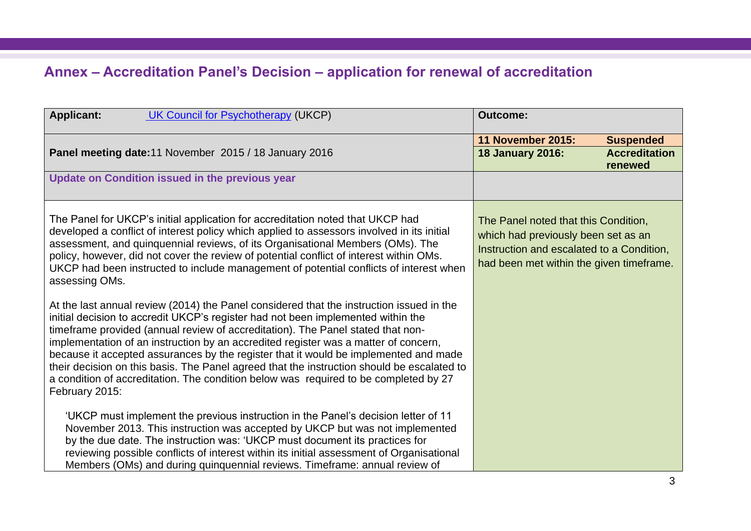# **Annex – Accreditation Panel's Decision – application for renewal of accreditation**

| <b>UK Council for Psychotherapy (UKCP)</b><br><b>Applicant:</b>                                                                                                                                                                                                                                                                                                                                                                                                                                                                                                                                                                                        | <b>Outcome:</b>                                                                                                                                                      |                                 |
|--------------------------------------------------------------------------------------------------------------------------------------------------------------------------------------------------------------------------------------------------------------------------------------------------------------------------------------------------------------------------------------------------------------------------------------------------------------------------------------------------------------------------------------------------------------------------------------------------------------------------------------------------------|----------------------------------------------------------------------------------------------------------------------------------------------------------------------|---------------------------------|
|                                                                                                                                                                                                                                                                                                                                                                                                                                                                                                                                                                                                                                                        | <b>11 November 2015:</b>                                                                                                                                             | <b>Suspended</b>                |
| Panel meeting date: 11 November 2015 / 18 January 2016                                                                                                                                                                                                                                                                                                                                                                                                                                                                                                                                                                                                 | <b>18 January 2016:</b>                                                                                                                                              | <b>Accreditation</b><br>renewed |
| Update on Condition issued in the previous year                                                                                                                                                                                                                                                                                                                                                                                                                                                                                                                                                                                                        |                                                                                                                                                                      |                                 |
| The Panel for UKCP's initial application for accreditation noted that UKCP had<br>developed a conflict of interest policy which applied to assessors involved in its initial<br>assessment, and quinquennial reviews, of its Organisational Members (OMs). The<br>policy, however, did not cover the review of potential conflict of interest within OMs.<br>UKCP had been instructed to include management of potential conflicts of interest when<br>assessing OMs.                                                                                                                                                                                  | The Panel noted that this Condition,<br>which had previously been set as an<br>Instruction and escalated to a Condition,<br>had been met within the given timeframe. |                                 |
| At the last annual review (2014) the Panel considered that the instruction issued in the<br>initial decision to accredit UKCP's register had not been implemented within the<br>timeframe provided (annual review of accreditation). The Panel stated that non-<br>implementation of an instruction by an accredited register was a matter of concern,<br>because it accepted assurances by the register that it would be implemented and made<br>their decision on this basis. The Panel agreed that the instruction should be escalated to<br>a condition of accreditation. The condition below was required to be completed by 27<br>February 2015: |                                                                                                                                                                      |                                 |
| 'UKCP must implement the previous instruction in the Panel's decision letter of 11<br>November 2013. This instruction was accepted by UKCP but was not implemented<br>by the due date. The instruction was: 'UKCP must document its practices for<br>reviewing possible conflicts of interest within its initial assessment of Organisational<br>Members (OMs) and during quinquennial reviews. Timeframe: annual review of                                                                                                                                                                                                                            |                                                                                                                                                                      |                                 |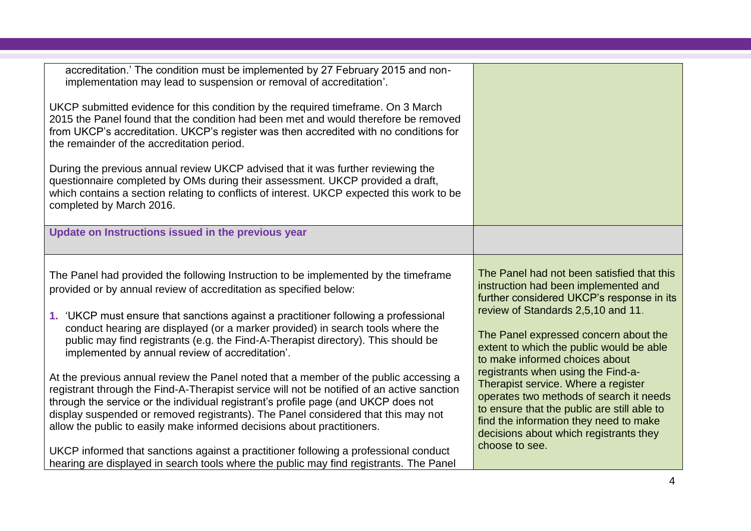| accreditation.' The condition must be implemented by 27 February 2015 and non-<br>implementation may lead to suspension or removal of accreditation'.                                                                                                                                                                                                                                                                                     |                                                                                                                                                                                                                                                         |
|-------------------------------------------------------------------------------------------------------------------------------------------------------------------------------------------------------------------------------------------------------------------------------------------------------------------------------------------------------------------------------------------------------------------------------------------|---------------------------------------------------------------------------------------------------------------------------------------------------------------------------------------------------------------------------------------------------------|
| UKCP submitted evidence for this condition by the required timeframe. On 3 March<br>2015 the Panel found that the condition had been met and would therefore be removed<br>from UKCP's accreditation. UKCP's register was then accredited with no conditions for<br>the remainder of the accreditation period.                                                                                                                            |                                                                                                                                                                                                                                                         |
| During the previous annual review UKCP advised that it was further reviewing the<br>questionnaire completed by OMs during their assessment. UKCP provided a draft,<br>which contains a section relating to conflicts of interest. UKCP expected this work to be<br>completed by March 2016.                                                                                                                                               |                                                                                                                                                                                                                                                         |
| Update on Instructions issued in the previous year                                                                                                                                                                                                                                                                                                                                                                                        |                                                                                                                                                                                                                                                         |
| The Panel had provided the following Instruction to be implemented by the timeframe<br>provided or by annual review of accreditation as specified below:                                                                                                                                                                                                                                                                                  | The Panel had not been satisfied that this<br>instruction had been implemented and<br>further considered UKCP's response in its                                                                                                                         |
| 1. 'UKCP must ensure that sanctions against a practitioner following a professional<br>conduct hearing are displayed (or a marker provided) in search tools where the<br>public may find registrants (e.g. the Find-A-Therapist directory). This should be<br>implemented by annual review of accreditation'.                                                                                                                             | review of Standards 2,5,10 and 11.<br>The Panel expressed concern about the<br>extent to which the public would be able<br>to make informed choices about                                                                                               |
| At the previous annual review the Panel noted that a member of the public accessing a<br>registrant through the Find-A-Therapist service will not be notified of an active sanction<br>through the service or the individual registrant's profile page (and UKCP does not<br>display suspended or removed registrants). The Panel considered that this may not<br>allow the public to easily make informed decisions about practitioners. | registrants when using the Find-a-<br>Therapist service. Where a register<br>operates two methods of search it needs<br>to ensure that the public are still able to<br>find the information they need to make<br>decisions about which registrants they |
| UKCP informed that sanctions against a practitioner following a professional conduct<br>hearing are displayed in search tools where the public may find registrants. The Panel                                                                                                                                                                                                                                                            | choose to see.                                                                                                                                                                                                                                          |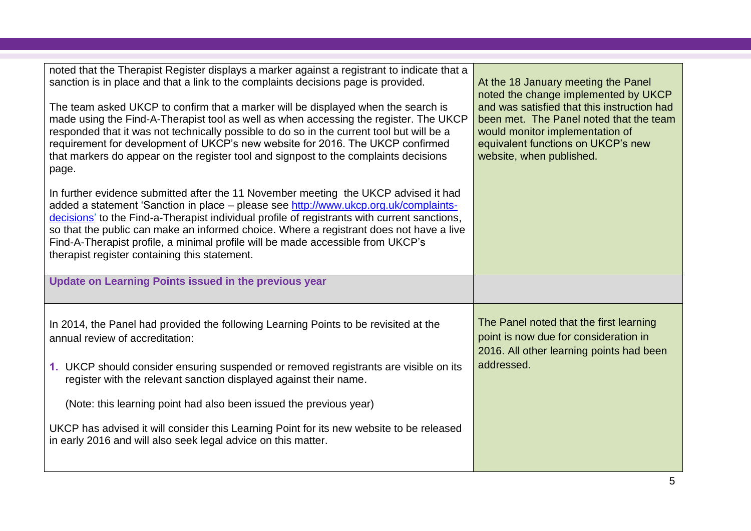| noted that the Therapist Register displays a marker against a registrant to indicate that a<br>sanction is in place and that a link to the complaints decisions page is provided.<br>The team asked UKCP to confirm that a marker will be displayed when the search is<br>made using the Find-A-Therapist tool as well as when accessing the register. The UKCP<br>responded that it was not technically possible to do so in the current tool but will be a<br>requirement for development of UKCP's new website for 2016. The UKCP confirmed<br>that markers do appear on the register tool and signpost to the complaints decisions<br>page. | At the 18 January meeting the Panel<br>noted the change implemented by UKCP<br>and was satisfied that this instruction had<br>been met. The Panel noted that the team<br>would monitor implementation of<br>equivalent functions on UKCP's new<br>website, when published. |
|-------------------------------------------------------------------------------------------------------------------------------------------------------------------------------------------------------------------------------------------------------------------------------------------------------------------------------------------------------------------------------------------------------------------------------------------------------------------------------------------------------------------------------------------------------------------------------------------------------------------------------------------------|----------------------------------------------------------------------------------------------------------------------------------------------------------------------------------------------------------------------------------------------------------------------------|
| In further evidence submitted after the 11 November meeting the UKCP advised it had<br>added a statement 'Sanction in place – please see http://www.ukcp.org.uk/complaints-<br>decisions' to the Find-a-Therapist individual profile of registrants with current sanctions,<br>so that the public can make an informed choice. Where a registrant does not have a live<br>Find-A-Therapist profile, a minimal profile will be made accessible from UKCP's<br>therapist register containing this statement.                                                                                                                                      |                                                                                                                                                                                                                                                                            |
| Update on Learning Points issued in the previous year                                                                                                                                                                                                                                                                                                                                                                                                                                                                                                                                                                                           |                                                                                                                                                                                                                                                                            |
| In 2014, the Panel had provided the following Learning Points to be revisited at the<br>annual review of accreditation:                                                                                                                                                                                                                                                                                                                                                                                                                                                                                                                         | The Panel noted that the first learning<br>point is now due for consideration in<br>2016. All other learning points had been<br>addressed.                                                                                                                                 |
| 1. UKCP should consider ensuring suspended or removed registrants are visible on its                                                                                                                                                                                                                                                                                                                                                                                                                                                                                                                                                            |                                                                                                                                                                                                                                                                            |
| register with the relevant sanction displayed against their name.<br>(Note: this learning point had also been issued the previous year)                                                                                                                                                                                                                                                                                                                                                                                                                                                                                                         |                                                                                                                                                                                                                                                                            |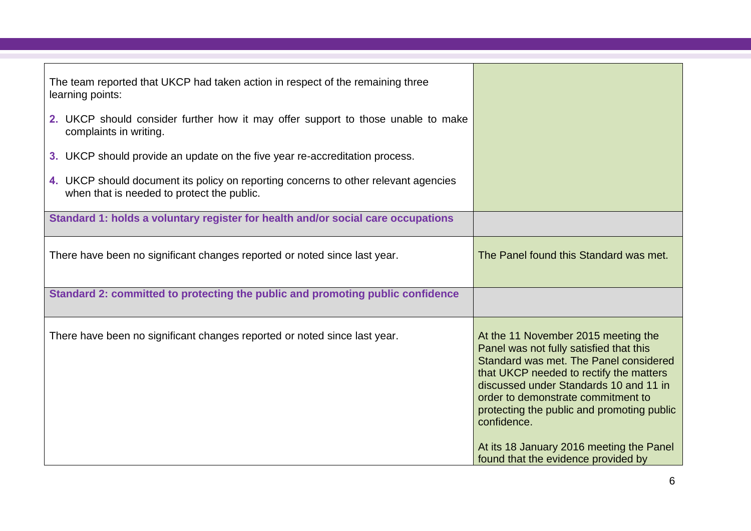| The team reported that UKCP had taken action in respect of the remaining three<br>learning points:                                |                                                                                                                                                                                                                                                                                                                                                                                                     |
|-----------------------------------------------------------------------------------------------------------------------------------|-----------------------------------------------------------------------------------------------------------------------------------------------------------------------------------------------------------------------------------------------------------------------------------------------------------------------------------------------------------------------------------------------------|
| 2. UKCP should consider further how it may offer support to those unable to make<br>complaints in writing.                        |                                                                                                                                                                                                                                                                                                                                                                                                     |
| 3. UKCP should provide an update on the five year re-accreditation process.                                                       |                                                                                                                                                                                                                                                                                                                                                                                                     |
| 4. UKCP should document its policy on reporting concerns to other relevant agencies<br>when that is needed to protect the public. |                                                                                                                                                                                                                                                                                                                                                                                                     |
| Standard 1: holds a voluntary register for health and/or social care occupations                                                  |                                                                                                                                                                                                                                                                                                                                                                                                     |
| There have been no significant changes reported or noted since last year.                                                         | The Panel found this Standard was met.                                                                                                                                                                                                                                                                                                                                                              |
| Standard 2: committed to protecting the public and promoting public confidence                                                    |                                                                                                                                                                                                                                                                                                                                                                                                     |
| There have been no significant changes reported or noted since last year.                                                         | At the 11 November 2015 meeting the<br>Panel was not fully satisfied that this<br>Standard was met. The Panel considered<br>that UKCP needed to rectify the matters<br>discussed under Standards 10 and 11 in<br>order to demonstrate commitment to<br>protecting the public and promoting public<br>confidence.<br>At its 18 January 2016 meeting the Panel<br>found that the evidence provided by |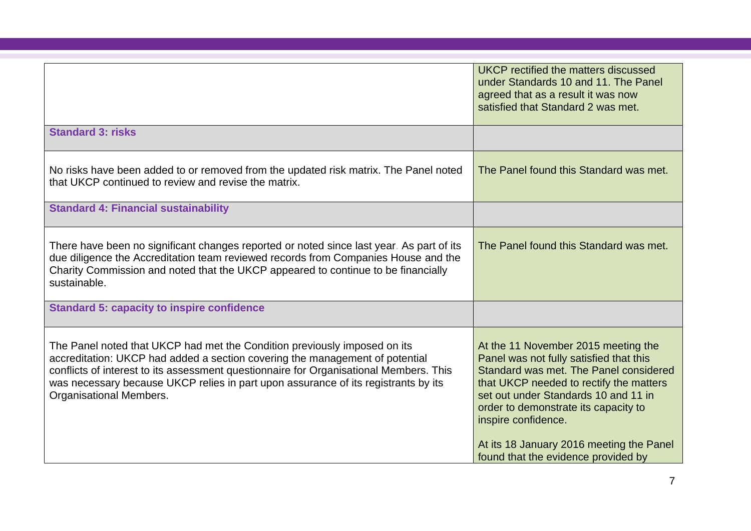|                                                                                                                                                                                                                                                                                                                                                                      | <b>UKCP</b> rectified the matters discussed<br>under Standards 10 and 11. The Panel<br>agreed that as a result it was now<br>satisfied that Standard 2 was met.                                                                                                                                                                                               |
|----------------------------------------------------------------------------------------------------------------------------------------------------------------------------------------------------------------------------------------------------------------------------------------------------------------------------------------------------------------------|---------------------------------------------------------------------------------------------------------------------------------------------------------------------------------------------------------------------------------------------------------------------------------------------------------------------------------------------------------------|
| <b>Standard 3: risks</b>                                                                                                                                                                                                                                                                                                                                             |                                                                                                                                                                                                                                                                                                                                                               |
| No risks have been added to or removed from the updated risk matrix. The Panel noted<br>that UKCP continued to review and revise the matrix.                                                                                                                                                                                                                         | The Panel found this Standard was met.                                                                                                                                                                                                                                                                                                                        |
| <b>Standard 4: Financial sustainability</b>                                                                                                                                                                                                                                                                                                                          |                                                                                                                                                                                                                                                                                                                                                               |
| There have been no significant changes reported or noted since last year. As part of its<br>due diligence the Accreditation team reviewed records from Companies House and the<br>Charity Commission and noted that the UKCP appeared to continue to be financially<br>sustainable.                                                                                  | The Panel found this Standard was met.                                                                                                                                                                                                                                                                                                                        |
| <b>Standard 5: capacity to inspire confidence</b>                                                                                                                                                                                                                                                                                                                    |                                                                                                                                                                                                                                                                                                                                                               |
| The Panel noted that UKCP had met the Condition previously imposed on its<br>accreditation: UKCP had added a section covering the management of potential<br>conflicts of interest to its assessment questionnaire for Organisational Members. This<br>was necessary because UKCP relies in part upon assurance of its registrants by its<br>Organisational Members. | At the 11 November 2015 meeting the<br>Panel was not fully satisfied that this<br>Standard was met. The Panel considered<br>that UKCP needed to rectify the matters<br>set out under Standards 10 and 11 in<br>order to demonstrate its capacity to<br>inspire confidence.<br>At its 18 January 2016 meeting the Panel<br>found that the evidence provided by |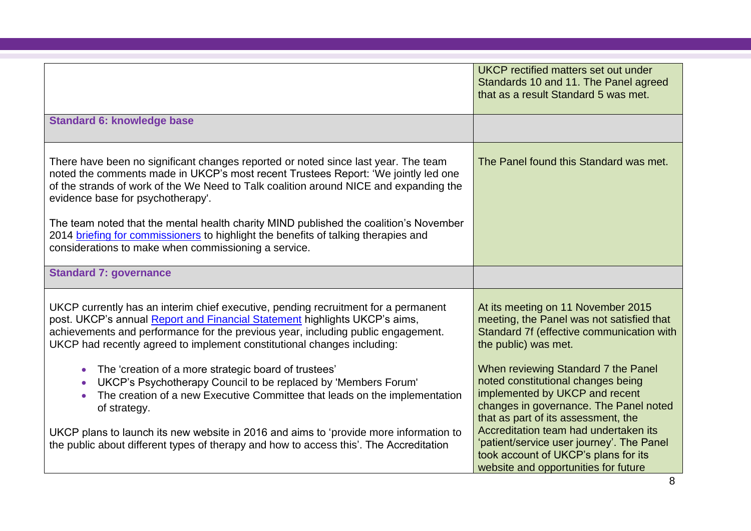|                                                                                                                                                                                                                                                                                                                                 | UKCP rectified matters set out under<br>Standards 10 and 11. The Panel agreed<br>that as a result Standard 5 was met.                                                                        |
|---------------------------------------------------------------------------------------------------------------------------------------------------------------------------------------------------------------------------------------------------------------------------------------------------------------------------------|----------------------------------------------------------------------------------------------------------------------------------------------------------------------------------------------|
| <b>Standard 6: knowledge base</b>                                                                                                                                                                                                                                                                                               |                                                                                                                                                                                              |
| There have been no significant changes reported or noted since last year. The team<br>noted the comments made in UKCP's most recent Trustees Report: 'We jointly led one<br>of the strands of work of the We Need to Talk coalition around NICE and expanding the<br>evidence base for psychotherapy'.                          | The Panel found this Standard was met.                                                                                                                                                       |
| The team noted that the mental health charity MIND published the coalition's November<br>2014 briefing for commissioners to highlight the benefits of talking therapies and<br>considerations to make when commissioning a service.                                                                                             |                                                                                                                                                                                              |
| <b>Standard 7: governance</b>                                                                                                                                                                                                                                                                                                   |                                                                                                                                                                                              |
| UKCP currently has an interim chief executive, pending recruitment for a permanent<br>post. UKCP's annual Report and Financial Statement highlights UKCP's aims,<br>achievements and performance for the previous year, including public engagement.<br>UKCP had recently agreed to implement constitutional changes including: | At its meeting on 11 November 2015<br>meeting, the Panel was not satisfied that<br>Standard 7f (effective communication with<br>the public) was met.                                         |
| The 'creation of a more strategic board of trustees'<br>UKCP's Psychotherapy Council to be replaced by 'Members Forum'<br>The creation of a new Executive Committee that leads on the implementation<br>of strategy.                                                                                                            | When reviewing Standard 7 the Panel<br>noted constitutional changes being<br>implemented by UKCP and recent<br>changes in governance. The Panel noted<br>that as part of its assessment, the |
| UKCP plans to launch its new website in 2016 and aims to 'provide more information to<br>the public about different types of therapy and how to access this'. The Accreditation                                                                                                                                                 | Accreditation team had undertaken its<br>'patient/service user journey'. The Panel<br>took account of UKCP's plans for its<br>website and opportunities for future                           |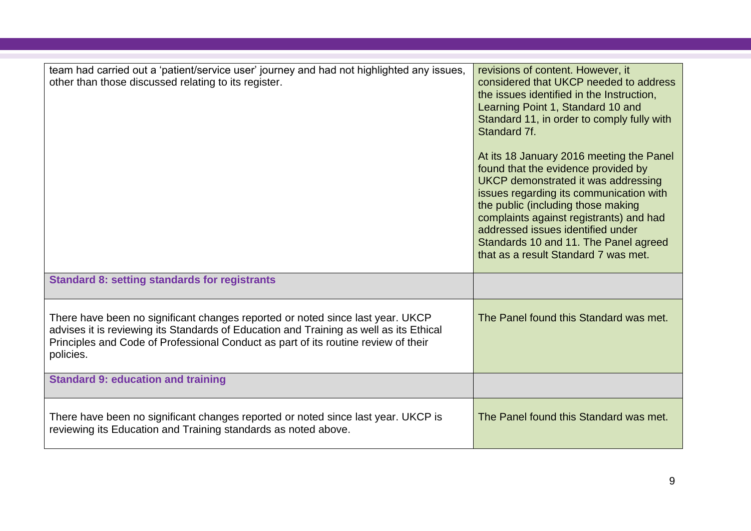| team had carried out a 'patient/service user' journey and had not highlighted any issues,<br>other than those discussed relating to its register.                                                                                                                           | revisions of content. However, it<br>considered that UKCP needed to address<br>the issues identified in the Instruction,<br>Learning Point 1, Standard 10 and<br>Standard 11, in order to comply fully with<br>Standard 7f.<br>At its 18 January 2016 meeting the Panel<br>found that the evidence provided by<br>UKCP demonstrated it was addressing<br>issues regarding its communication with<br>the public (including those making<br>complaints against registrants) and had<br>addressed issues identified under<br>Standards 10 and 11. The Panel agreed<br>that as a result Standard 7 was met. |
|-----------------------------------------------------------------------------------------------------------------------------------------------------------------------------------------------------------------------------------------------------------------------------|---------------------------------------------------------------------------------------------------------------------------------------------------------------------------------------------------------------------------------------------------------------------------------------------------------------------------------------------------------------------------------------------------------------------------------------------------------------------------------------------------------------------------------------------------------------------------------------------------------|
| <b>Standard 8: setting standards for registrants</b>                                                                                                                                                                                                                        |                                                                                                                                                                                                                                                                                                                                                                                                                                                                                                                                                                                                         |
| There have been no significant changes reported or noted since last year. UKCP<br>advises it is reviewing its Standards of Education and Training as well as its Ethical<br>Principles and Code of Professional Conduct as part of its routine review of their<br>policies. | The Panel found this Standard was met.                                                                                                                                                                                                                                                                                                                                                                                                                                                                                                                                                                  |
| <b>Standard 9: education and training</b>                                                                                                                                                                                                                                   |                                                                                                                                                                                                                                                                                                                                                                                                                                                                                                                                                                                                         |
| There have been no significant changes reported or noted since last year. UKCP is<br>reviewing its Education and Training standards as noted above.                                                                                                                         | The Panel found this Standard was met.                                                                                                                                                                                                                                                                                                                                                                                                                                                                                                                                                                  |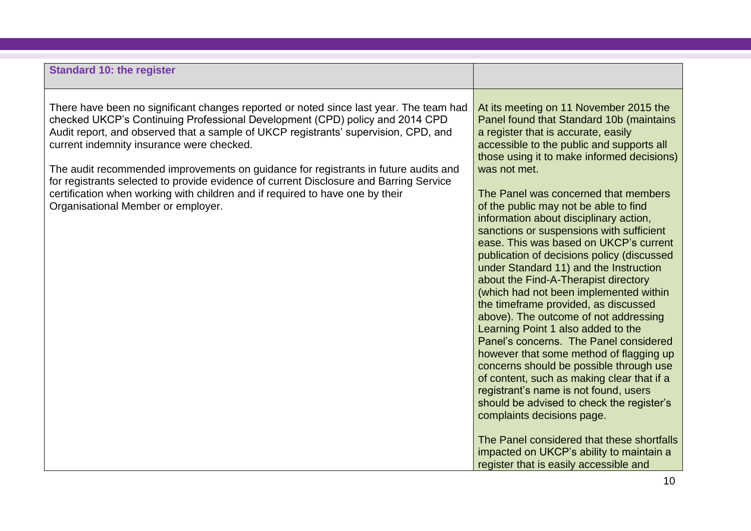| <b>Standard 10: the register</b>                                                                                                                                                                                                                                                                                                                                                                                                                                                                                                                                                                                   |                                                                                                                                                                                                                                                                                                                                                                                                                                                                                                                                                                                                                                                                                                                                                                                                                                                                                                                                                                                                                                                                                                                                                                                              |
|--------------------------------------------------------------------------------------------------------------------------------------------------------------------------------------------------------------------------------------------------------------------------------------------------------------------------------------------------------------------------------------------------------------------------------------------------------------------------------------------------------------------------------------------------------------------------------------------------------------------|----------------------------------------------------------------------------------------------------------------------------------------------------------------------------------------------------------------------------------------------------------------------------------------------------------------------------------------------------------------------------------------------------------------------------------------------------------------------------------------------------------------------------------------------------------------------------------------------------------------------------------------------------------------------------------------------------------------------------------------------------------------------------------------------------------------------------------------------------------------------------------------------------------------------------------------------------------------------------------------------------------------------------------------------------------------------------------------------------------------------------------------------------------------------------------------------|
| There have been no significant changes reported or noted since last year. The team had<br>checked UKCP's Continuing Professional Development (CPD) policy and 2014 CPD<br>Audit report, and observed that a sample of UKCP registrants' supervision, CPD, and<br>current indemnity insurance were checked.<br>The audit recommended improvements on guidance for registrants in future audits and<br>for registrants selected to provide evidence of current Disclosure and Barring Service<br>certification when working with children and if required to have one by their<br>Organisational Member or employer. | At its meeting on 11 November 2015 the<br>Panel found that Standard 10b (maintains<br>a register that is accurate, easily<br>accessible to the public and supports all<br>those using it to make informed decisions)<br>was not met.<br>The Panel was concerned that members<br>of the public may not be able to find<br>information about disciplinary action,<br>sanctions or suspensions with sufficient<br>ease. This was based on UKCP's current<br>publication of decisions policy (discussed<br>under Standard 11) and the Instruction<br>about the Find-A-Therapist directory<br>(which had not been implemented within<br>the timeframe provided, as discussed<br>above). The outcome of not addressing<br>Learning Point 1 also added to the<br>Panel's concerns. The Panel considered<br>however that some method of flagging up<br>concerns should be possible through use<br>of content, such as making clear that if a<br>registrant's name is not found, users<br>should be advised to check the register's<br>complaints decisions page.<br>The Panel considered that these shortfalls<br>impacted on UKCP's ability to maintain a<br>register that is easily accessible and |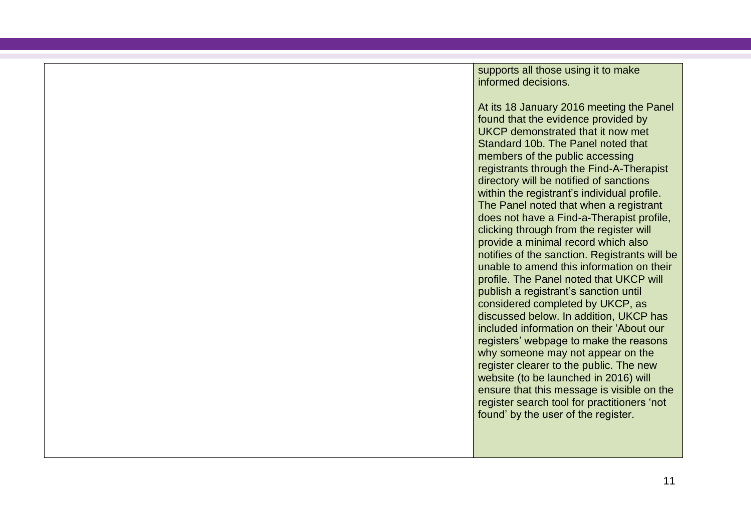supports all those using it to make informed decisions.

At its 18 January 2016 meeting the Panel found that the evidence provided by UKCP demonstrated that it now met Standard 10b. The Panel noted that members of the public accessing registrants through the Find-A-Therapist directory will be notified of sanctions within the registrant's individual profile. The Panel noted that when a registrant does not have a Find-a-Therapist profile, clicking through from the register will provide a minimal record which also notifies of the sanction. Registrants will be unable to amend this information on their profile. The Panel noted that UKCP will publish a registrant's sanction until considered completed by UKCP, as discussed below. In addition, UKCP has included information on their 'About our registers' webpage to make the reasons why someone may not appear on the register clearer to the public. The new website (to be launched in 2016) will ensure that this message is visible on the register search tool for practitioners 'not found' by the user of the register.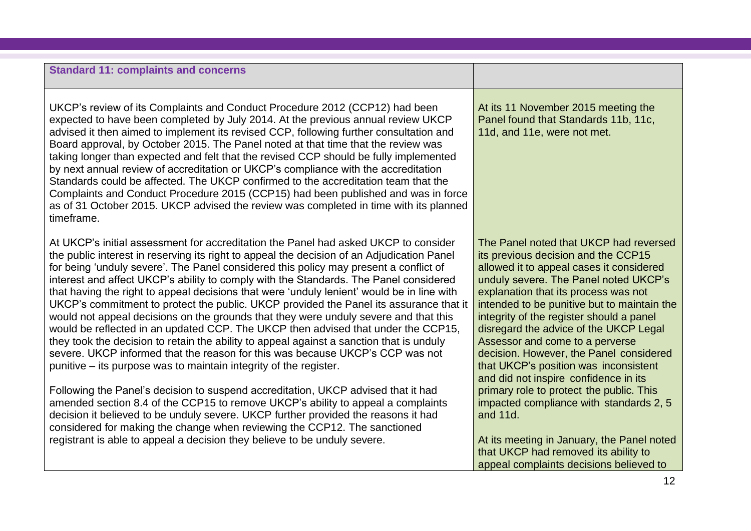#### **Standard 11: complaints and concerns**

UKCP's review of its Complaints and Conduct Procedure 2012 (CCP12) had been expected to have been completed by July 2014. At the previous annual review UKCP advised it then aimed to implement its revised CCP, following further consultation and Board approval, by October 2015. The Panel noted at that time that the review was taking longer than expected and felt that the revised CCP should be fully implemented by next annual review of accreditation or UKCP's compliance with the accreditation Standards could be affected. The UKCP confirmed to the accreditation team that the Complaints and Conduct Procedure 2015 (CCP15) had been published and was in force as of 31 October 2015. UKCP advised the review was completed in time with its planned timeframe.

At UKCP's initial assessment for accreditation the Panel had asked UKCP to consider the public interest in reserving its right to appeal the decision of an Adjudication Panel for being 'unduly severe'. The Panel considered this policy may present a conflict of interest and affect UKCP's ability to comply with the Standards. The Panel considered that having the right to appeal decisions that were 'unduly lenient' would be in line with UKCP's commitment to protect the public. UKCP provided the Panel its assurance that it would not appeal decisions on the grounds that they were unduly severe and that this would be reflected in an updated CCP. The UKCP then advised that under the CCP15, they took the decision to retain the ability to appeal against a sanction that is unduly severe. UKCP informed that the reason for this was because UKCP's CCP was not punitive – its purpose was to maintain integrity of the register.

Following the Panel's decision to suspend accreditation, UKCP advised that it had amended section 8.4 of the CCP15 to remove UKCP's ability to appeal a complaints decision it believed to be unduly severe. UKCP further provided the reasons it had considered for making the change when reviewing the CCP12. The sanctioned registrant is able to appeal a decision they believe to be unduly severe.

At its 11 November 2015 meeting the Panel found that Standards 11b, 11c, 11d, and 11e, were not met.

The Panel noted that UKCP had reversed its previous decision and the CCP15 allowed it to appeal cases it considered unduly severe. The Panel noted UKCP's explanation that its process was not intended to be punitive but to maintain the integrity of the register should a panel disregard the advice of the UKCP Legal Assessor and come to a perverse decision. However, the Panel considered that UKCP's position was inconsistent and did not inspire confidence in its primary role to protect the public. This impacted compliance with standards 2, 5 and 11d.

At its meeting in January, the Panel noted that UKCP had removed its ability to appeal complaints decisions believed to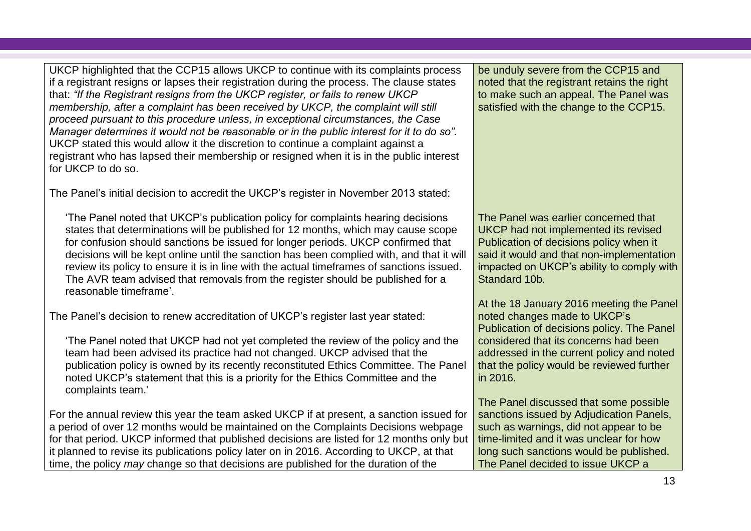UKCP highlighted that the CCP15 allows UKCP to continue with its complaints process if a registrant resigns or lapses their registration during the process. The clause states that: *"If the Registrant resigns from the UKCP register, or fails to renew UKCP membership, after a complaint has been received by UKCP, the complaint will still proceed pursuant to this procedure unless, in exceptional circumstances, the Case Manager determines it would not be reasonable or in the public interest for it to do so".* UKCP stated this would allow it the discretion to continue a complaint against a registrant who has lapsed their membership or resigned when it is in the public interest for UKCP to do so.

The Panel's initial [decision](https://www.professionalstandards.org.uk/docs/default-source/voluntary-registers/united-kingdom-council-for-psychotherapy-avr-panel-decision.pdf?sfvrsn=10) to accredit the UKCP's register in November 2013 stated:

'The Panel noted that UKCP's publication policy for complaints hearing decisions states that determinations will be published for 12 months, which may cause scope for confusion should sanctions be issued for longer periods. UKCP confirmed that decisions will be kept online until the sanction has been complied with, and that it will review its policy to ensure it is in line with the actual timeframes of sanctions issued. The AVR team advised that removals from the register should be published for a reasonable timeframe'.

The Panel's decision to renew accreditation of UKCP's register last year stated:

'The Panel noted that UKCP had not yet completed the review of the policy and the team had been advised its practice had not changed. UKCP advised that the publication policy is owned by its recently reconstituted Ethics Committee. The Panel noted UKCP's statement that this is a priority for the Ethics Committee and the complaints team.'

For the annual review this year the team asked UKCP if at present, a sanction issued for a period of over 12 months would be maintained on the Complaints Decisions webpage for that period. UKCP informed that published decisions are listed for 12 months only but it planned to revise its publications policy later on in 2016. According to UKCP, at that time, the policy *may* change so that decisions are published for the duration of the

be unduly severe from the CCP15 and noted that the registrant retains the right to make such an appeal. The Panel was satisfied with the change to the CCP15.

The Panel was earlier concerned that UKCP had not implemented its revised Publication of decisions policy when it said it would and that non-implementation impacted on UKCP's ability to comply with Standard 10b.

At the 18 January 2016 meeting the Panel noted changes made to UKCP's Publication of decisions policy. The Panel considered that its concerns had been addressed in the current policy and noted that the policy would be reviewed further in 2016.

The Panel discussed that some possible sanctions issued by Adjudication Panels, such as warnings, did not appear to be time-limited and it was unclear for how long such sanctions would be published. The Panel decided to issue UKCP a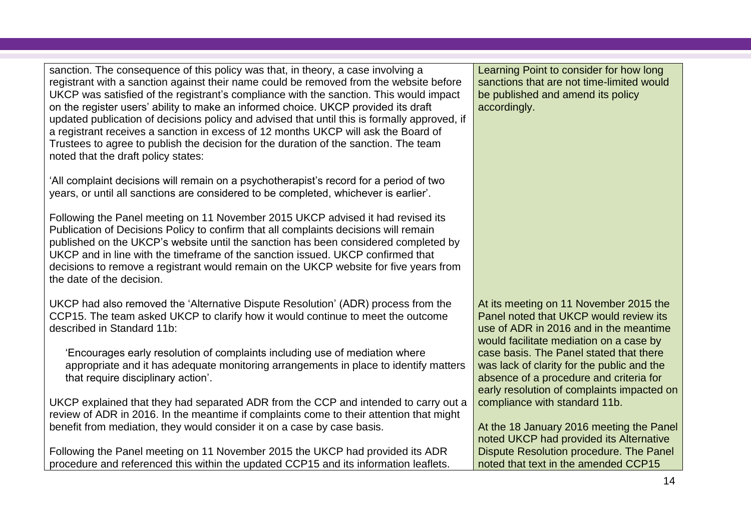sanction. The consequence of this policy was that, in theory, a case involving a registrant with a sanction against their name could be removed from the website before UKCP was satisfied of the registrant's compliance with the sanction. This would impact on the register users' ability to make an informed choice. UKCP provided its draft updated publication of decisions policy and advised that until this is formally approved, if a registrant receives a sanction in excess of 12 months UKCP will ask the Board of Trustees to agree to publish the decision for the duration of the sanction. The team noted that the draft policy states:

'All complaint decisions will remain on a psychotherapist's record for a period of two years, or until all sanctions are considered to be completed, whichever is earlier'.

Following the Panel meeting on 11 November 2015 UKCP advised it had revised its Publication of Decisions Policy to confirm that all complaints decisions will remain published on the UKCP's website until the sanction has been considered completed by UKCP and in line with the timeframe of the sanction issued. UKCP confirmed that decisions to remove a registrant would remain on the UKCP website for five years from the date of the decision.

UKCP had also removed the 'Alternative Dispute Resolution' (ADR) process from the CCP15. The team asked UKCP to clarify how it would continue to meet the outcome described in Standard 11b:

'Encourages early resolution of complaints including use of mediation where appropriate and it has adequate monitoring arrangements in place to identify matters that require disciplinary action'.

UKCP explained that they had separated ADR from the CCP and intended to carry out a review of ADR in 2016. In the meantime if complaints come to their attention that might benefit from mediation, they would consider it on a case by case basis.

Following the Panel meeting on 11 November 2015 the UKCP had provided its ADR procedure and referenced this within the updated CCP15 and its information leaflets. Learning Point to consider for how long sanctions that are not time-limited would be published and amend its policy accordingly.

At its meeting on 11 November 2015 the Panel noted that UKCP would review its use of ADR in 2016 and in the meantime would facilitate mediation on a case by case basis. The Panel stated that there was lack of clarity for the public and the absence of a procedure and criteria for early resolution of complaints impacted on compliance with standard 11b.

At the 18 January 2016 meeting the Panel noted UKCP had provided its Alternative Dispute Resolution procedure. The Panel noted that text in the amended CCP15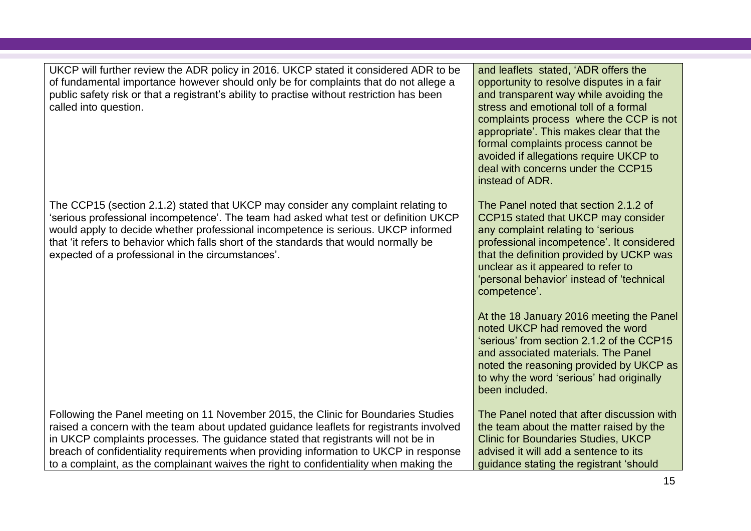UKCP will further review the ADR policy in 2016. UKCP stated it considered ADR to be of fundamental importance however should only be for complaints that do not allege a public safety risk or that a registrant's ability to practise without restriction has been called into question.

The CCP15 (section 2.1.2) stated that UKCP may consider any complaint relating to 'serious professional incompetence'. The team had asked what test or definition UKCP would apply to decide whether professional incompetence is serious. UKCP informed that 'it refers to behavior which falls short of the standards that would normally be expected of a professional in the circumstances'.

Following the Panel meeting on 11 November 2015, the Clinic for Boundaries Studies raised a concern with the team about updated guidance leaflets for registrants involved in UKCP complaints processes. The guidance stated that registrants will not be in breach of confidentiality requirements when providing information to UKCP in response to a complaint, as the complainant waives the right to confidentiality when making the

and leaflets stated, 'ADR offers the opportunity to resolve disputes in a fair and transparent way while avoiding the stress and emotional toll of a formal complaints process where the CCP is not appropriate'. This makes clear that the formal complaints process cannot be avoided if allegations require UKCP to deal with concerns under the CCP15 instead of ADR.

The Panel noted that section 2.1.2 of CCP15 stated that UKCP may consider any complaint relating to 'serious professional incompetence'. It considered that the definition provided by UCKP was unclear as it appeared to refer to 'personal behavior' instead of 'technical competence'.

At the 18 January 2016 meeting the Panel noted UKCP had removed the word 'serious' from section 2.1.2 of the CCP15 and associated materials. The Panel noted the reasoning provided by UKCP as to why the word 'serious' had originally been included.

The Panel noted that after discussion with the team about the matter raised by the Clinic for Boundaries Studies, UKCP advised it will add a sentence to its guidance stating the registrant 'should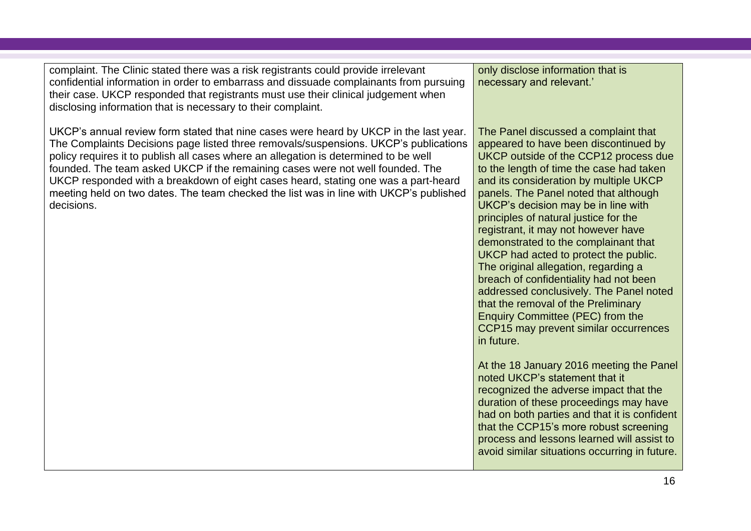| UKCP's annual review form stated that nine cases were heard by UKCP in the last year.<br>The Panel discussed a complaint that<br>The Complaints Decisions page listed three removals/suspensions. UKCP's publications<br>appeared to have been discontinued by<br>policy requires it to publish all cases where an allegation is determined to be well<br>UKCP outside of the CCP12 process due<br>founded. The team asked UKCP if the remaining cases were not well founded. The<br>to the length of time the case had taken<br>and its consideration by multiple UKCP<br>UKCP responded with a breakdown of eight cases heard, stating one was a part-heard<br>meeting held on two dates. The team checked the list was in line with UKCP's published<br>panels. The Panel noted that although<br>UKCP's decision may be in line with<br>decisions.<br>principles of natural justice for the<br>registrant, it may not however have<br>demonstrated to the complainant that<br>UKCP had acted to protect the public.<br>The original allegation, regarding a<br>breach of confidentiality had not been<br>addressed conclusively. The Panel noted<br>that the removal of the Preliminary<br><b>Enquiry Committee (PEC) from the</b><br>CCP15 may prevent similar occurrences<br>in future.<br>At the 18 January 2016 meeting the Panel<br>noted UKCP's statement that it<br>recognized the adverse impact that the<br>duration of these proceedings may have<br>had on both parties and that it is confident<br>that the CCP15's more robust screening<br>process and lessons learned will assist to | complaint. The Clinic stated there was a risk registrants could provide irrelevant<br>confidential information in order to embarrass and dissuade complainants from pursuing<br>their case. UKCP responded that registrants must use their clinical judgement when<br>disclosing information that is necessary to their complaint. | only disclose information that is<br>necessary and relevant.' |
|--------------------------------------------------------------------------------------------------------------------------------------------------------------------------------------------------------------------------------------------------------------------------------------------------------------------------------------------------------------------------------------------------------------------------------------------------------------------------------------------------------------------------------------------------------------------------------------------------------------------------------------------------------------------------------------------------------------------------------------------------------------------------------------------------------------------------------------------------------------------------------------------------------------------------------------------------------------------------------------------------------------------------------------------------------------------------------------------------------------------------------------------------------------------------------------------------------------------------------------------------------------------------------------------------------------------------------------------------------------------------------------------------------------------------------------------------------------------------------------------------------------------------------------------------------------------------------------------------------|------------------------------------------------------------------------------------------------------------------------------------------------------------------------------------------------------------------------------------------------------------------------------------------------------------------------------------|---------------------------------------------------------------|
|                                                                                                                                                                                                                                                                                                                                                                                                                                                                                                                                                                                                                                                                                                                                                                                                                                                                                                                                                                                                                                                                                                                                                                                                                                                                                                                                                                                                                                                                                                                                                                                                        |                                                                                                                                                                                                                                                                                                                                    | avoid similar situations occurring in future.                 |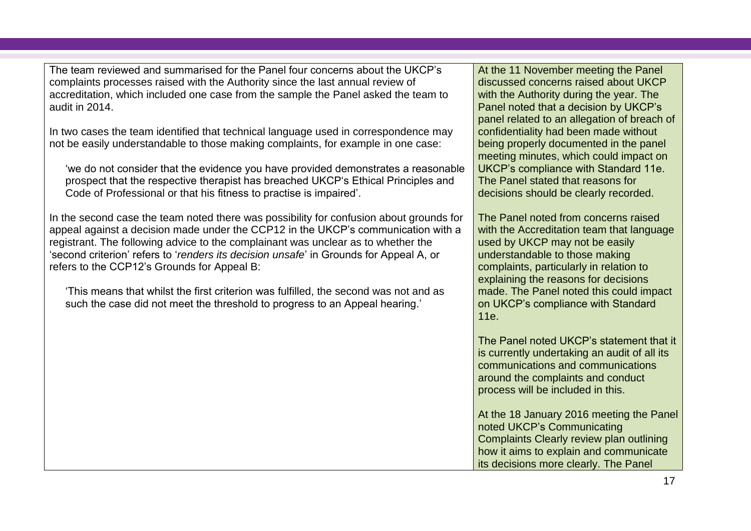The team reviewed and summarised for the Panel four concerns about the UKCP's complaints processes raised with the Authority since the last annual review of accreditation, which included one case from the sample the Panel asked the team to audit in 2014.

In two cases the team identified that technical language used in correspondence may not be easily understandable to those making complaints, for example in one case:

'we do not consider that the evidence you have provided demonstrates a reasonable prospect that the respective therapist has breached UKCP's Ethical Principles and Code of Professional or that his fitness to practise is impaired'.

In the second case the team noted there was possibility for confusion about grounds for appeal against a decision made under the CCP12 in the UKCP's communication with a registrant. The following advice to the complainant was unclear as to whether the 'second criterion' refers to '*renders its decision unsafe*' in Grounds for Appeal A, or refers to the CCP12's Grounds for Appeal B:

'This means that whilst the first criterion was fulfilled, the second was not and as such the case did not meet the threshold to progress to an Appeal hearing.'

At the 11 November meeting the Panel discussed concerns raised about UKCP with the Authority during the year. The Panel noted that a decision by UKCP's panel related to an allegation of breach of confidentiality had been made without being properly documented in the panel meeting minutes, which could impact on UKCP's compliance with Standard 11e. The Panel stated that reasons for decisions should be clearly recorded.

The Panel noted from concerns raised with the Accreditation team that language used by UKCP may not be easily understandable to those making complaints, particularly in relation to explaining the reasons for decisions made. The Panel noted this could impact on UKCP's compliance with Standard 11e.

The Panel noted UKCP's statement that it is currently undertaking an audit of all its communications and communications around the complaints and conduct process will be included in this.

At the 18 January 2016 meeting the Panel noted UKCP's Communicating Complaints Clearly review plan outlining how it aims to explain and communicate its decisions more clearly. The Panel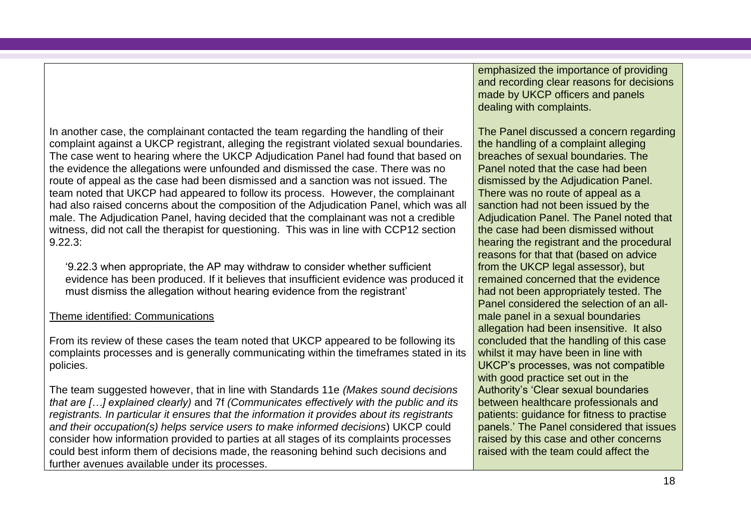In another case, the complainant contacted the team regarding the handling of their complaint against a UKCP registrant, alleging the registrant violated sexual boundaries. The case went to hearing where the UKCP Adjudication Panel had found that based on the evidence the allegations were unfounded and dismissed the case. There was no route of appeal as the case had been dismissed and a sanction was not issued. The team noted that UKCP had appeared to follow its process. However, the complainant had also raised concerns about the composition of the Adjudication Panel, which was all male. The Adjudication Panel, having decided that the complainant was not a credible witness, did not call the therapist for questioning. This was in line with CCP12 section 9.22.3:

'9.22.3 when appropriate, the AP may withdraw to consider whether sufficient evidence has been produced. If it believes that insufficient evidence was produced it must dismiss the allegation without hearing evidence from the registrant'

### Theme identified: Communications

From its review of these cases the team noted that UKCP appeared to be following its complaints processes and is generally communicating within the timeframes stated in its policies.

The team suggested however, that in line with Standards 11e *(Makes sound decisions that are […] explained clearly)* and 7f *(Communicates effectively with the public and its registrants. In particular it ensures that the information it provides about its registrants and their occupation(s) helps service users to make informed decisions*) UKCP could consider how information provided to parties at all stages of its complaints processes could best inform them of decisions made, the reasoning behind such decisions and further avenues available under its processes.

emphasized the importance of providing and recording clear reasons for decisions made by UKCP officers and panels dealing with complaints.

The Panel discussed a concern regarding the handling of a complaint alleging breaches of sexual boundaries. The Panel noted that the case had been dismissed by the Adjudication Panel. There was no route of appeal as a sanction had not been issued by the Adjudication Panel. The Panel noted that the case had been dismissed without hearing the registrant and the procedural reasons for that that (based on advice from the UKCP legal assessor), but remained concerned that the evidence had not been appropriately tested. The Panel considered the selection of an allmale panel in a sexual boundaries allegation had been insensitive. It also concluded that the handling of this case whilst it may have been in line with UKCP's processes, was not compatible with good practice set out in the Authority's 'Clear sexual boundaries between healthcare professionals and patients: guidance for fitness to practise panels.' The Panel considered that issues raised by this case and other concerns raised with the team could affect the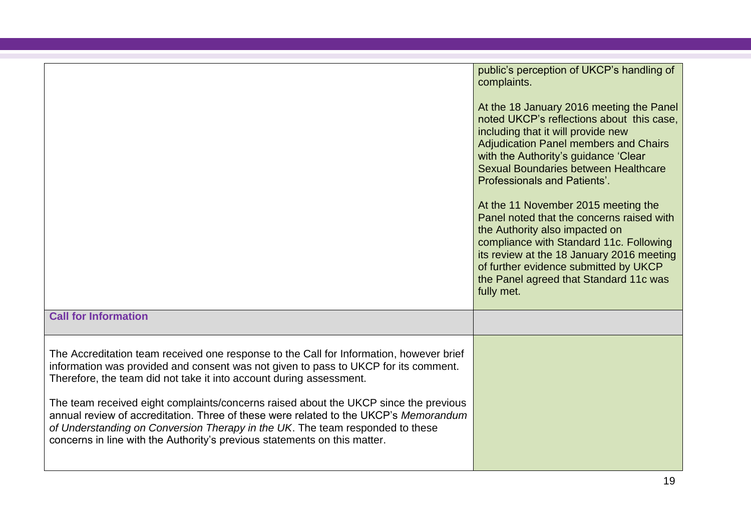|                                                                                                                                                                                                                                                                                                                                                                                                                                                                                                                                                                                                     | public's perception of UKCP's handling of<br>complaints.<br>At the 18 January 2016 meeting the Panel<br>noted UKCP's reflections about this case.<br>including that it will provide new<br><b>Adjudication Panel members and Chairs</b><br>with the Authority's guidance 'Clear<br>Sexual Boundaries between Healthcare<br><b>Professionals and Patients'.</b><br>At the 11 November 2015 meeting the<br>Panel noted that the concerns raised with<br>the Authority also impacted on<br>compliance with Standard 11c. Following<br>its review at the 18 January 2016 meeting<br>of further evidence submitted by UKCP<br>the Panel agreed that Standard 11c was<br>fully met. |
|-----------------------------------------------------------------------------------------------------------------------------------------------------------------------------------------------------------------------------------------------------------------------------------------------------------------------------------------------------------------------------------------------------------------------------------------------------------------------------------------------------------------------------------------------------------------------------------------------------|-------------------------------------------------------------------------------------------------------------------------------------------------------------------------------------------------------------------------------------------------------------------------------------------------------------------------------------------------------------------------------------------------------------------------------------------------------------------------------------------------------------------------------------------------------------------------------------------------------------------------------------------------------------------------------|
| <b>Call for Information</b>                                                                                                                                                                                                                                                                                                                                                                                                                                                                                                                                                                         |                                                                                                                                                                                                                                                                                                                                                                                                                                                                                                                                                                                                                                                                               |
| The Accreditation team received one response to the Call for Information, however brief<br>information was provided and consent was not given to pass to UKCP for its comment.<br>Therefore, the team did not take it into account during assessment.<br>The team received eight complaints/concerns raised about the UKCP since the previous<br>annual review of accreditation. Three of these were related to the UKCP's Memorandum<br>of Understanding on Conversion Therapy in the UK. The team responded to these<br>concerns in line with the Authority's previous statements on this matter. |                                                                                                                                                                                                                                                                                                                                                                                                                                                                                                                                                                                                                                                                               |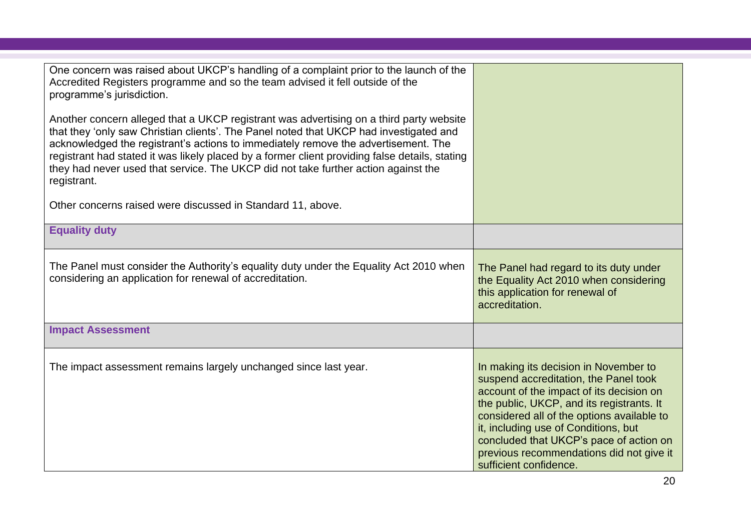| One concern was raised about UKCP's handling of a complaint prior to the launch of the<br>Accredited Registers programme and so the team advised it fell outside of the<br>programme's jurisdiction.<br>Another concern alleged that a UKCP registrant was advertising on a third party website<br>that they 'only saw Christian clients'. The Panel noted that UKCP had investigated and<br>acknowledged the registrant's actions to immediately remove the advertisement. The<br>registrant had stated it was likely placed by a former client providing false details, stating<br>they had never used that service. The UKCP did not take further action against the<br>registrant.<br>Other concerns raised were discussed in Standard 11, above. |                                                                                                                                                                                                                                                                                                                                                                                |
|-------------------------------------------------------------------------------------------------------------------------------------------------------------------------------------------------------------------------------------------------------------------------------------------------------------------------------------------------------------------------------------------------------------------------------------------------------------------------------------------------------------------------------------------------------------------------------------------------------------------------------------------------------------------------------------------------------------------------------------------------------|--------------------------------------------------------------------------------------------------------------------------------------------------------------------------------------------------------------------------------------------------------------------------------------------------------------------------------------------------------------------------------|
| <b>Equality duty</b>                                                                                                                                                                                                                                                                                                                                                                                                                                                                                                                                                                                                                                                                                                                                  |                                                                                                                                                                                                                                                                                                                                                                                |
| The Panel must consider the Authority's equality duty under the Equality Act 2010 when<br>considering an application for renewal of accreditation.                                                                                                                                                                                                                                                                                                                                                                                                                                                                                                                                                                                                    | The Panel had regard to its duty under<br>the Equality Act 2010 when considering<br>this application for renewal of<br>accreditation.                                                                                                                                                                                                                                          |
| <b>Impact Assessment</b>                                                                                                                                                                                                                                                                                                                                                                                                                                                                                                                                                                                                                                                                                                                              |                                                                                                                                                                                                                                                                                                                                                                                |
| The impact assessment remains largely unchanged since last year.                                                                                                                                                                                                                                                                                                                                                                                                                                                                                                                                                                                                                                                                                      | In making its decision in November to<br>suspend accreditation, the Panel took<br>account of the impact of its decision on<br>the public, UKCP, and its registrants. It<br>considered all of the options available to<br>it, including use of Conditions, but<br>concluded that UKCP's pace of action on<br>previous recommendations did not give it<br>sufficient confidence. |